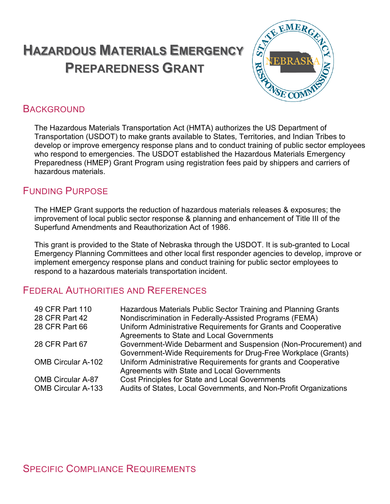# **HAZARDOUS MATERIALS EMERGENCY PREPAREDNESS GRANT**



# **BACKGROUND**

The Hazardous Materials Transportation Act (HMTA) authorizes the US Department of Transportation (USDOT) to make grants available to States, Territories, and Indian Tribes to develop or improve emergency response plans and to conduct training of public sector employees who respond to emergencies. The USDOT established the Hazardous Materials Emergency Preparedness (HMEP) Grant Program using registration fees paid by shippers and carriers of hazardous materials.

# FUNDING PURPOSE

The HMEP Grant supports the reduction of hazardous materials releases & exposures; the improvement of local public sector response & planning and enhancement of Title III of the Superfund Amendments and Reauthorization Act of 1986.

This grant is provided to the State of Nebraska through the USDOT. It is sub-granted to Local Emergency Planning Committees and other local first responder agencies to develop, improve or implement emergency response plans and conduct training for public sector employees to respond to a hazardous materials transportation incident.

# FEDERAL AUTHORITIES AND REFERENCES

| 49 CFR Part 110<br>28 CFR Part 42<br>28 CFR Part 66   | Hazardous Materials Public Sector Training and Planning Grants<br>Nondiscrimination in Federally-Assisted Programs (FEMA)<br>Uniform Administrative Requirements for Grants and Cooperative<br>Agreements to State and Local Governments |
|-------------------------------------------------------|------------------------------------------------------------------------------------------------------------------------------------------------------------------------------------------------------------------------------------------|
| 28 CFR Part 67                                        | Government-Wide Debarment and Suspension (Non-Procurement) and                                                                                                                                                                           |
| <b>OMB Circular A-102</b>                             | Government-Wide Requirements for Drug-Free Workplace (Grants)<br>Uniform Administrative Requirements for grants and Cooperative<br>Agreements with State and Local Governments                                                           |
| <b>OMB Circular A-87</b><br><b>OMB Circular A-133</b> | <b>Cost Principles for State and Local Governments</b><br>Audits of States, Local Governments, and Non-Profit Organizations                                                                                                              |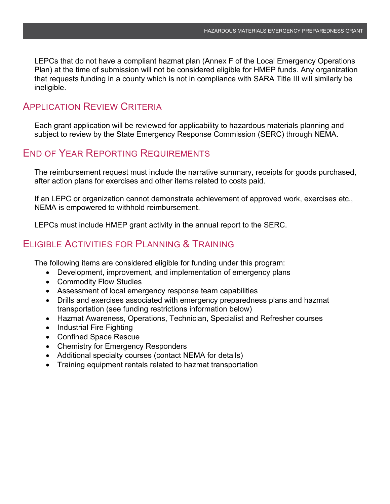LEPCs that do not have a compliant hazmat plan (Annex F of the Local Emergency Operations Plan) at the time of submission will not be considered eligible for HMEP funds. Any organization that requests funding in a county which is not in compliance with SARA Title III will similarly be ineligible.

### APPLICATION REVIEW CRITERIA

Each grant application will be reviewed for applicability to hazardous materials planning and subject to review by the State Emergency Response Commission (SERC) through NEMA.

### END OF YEAR REPORTING REQUIREMENTS

The reimbursement request must include the narrative summary, receipts for goods purchased, after action plans for exercises and other items related to costs paid.

If an LEPC or organization cannot demonstrate achievement of approved work, exercises etc., NEMA is empowered to withhold reimbursement.

LEPCs must include HMEP grant activity in the annual report to the SERC.

## ELIGIBLE ACTIVITIES FOR PLANNING & TRAINING

The following items are considered eligible for funding under this program:

- Development, improvement, and implementation of emergency plans
- Commodity Flow Studies
- Assessment of local emergency response team capabilities
- Drills and exercises associated with emergency preparedness plans and hazmat transportation (see funding restrictions information below)
- Hazmat Awareness, Operations, Technician, Specialist and Refresher courses
- Industrial Fire Fighting
- Confined Space Rescue
- Chemistry for Emergency Responders
- Additional specialty courses (contact NEMA for details)
- Training equipment rentals related to hazmat transportation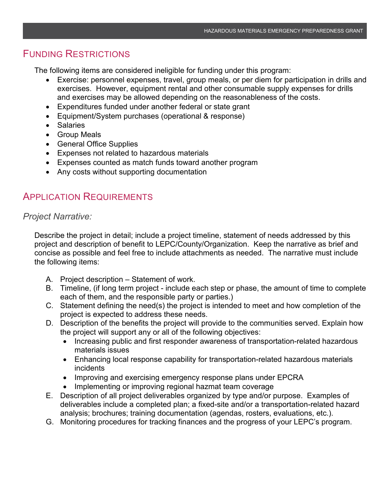# FUNDING RESTRICTIONS

The following items are considered ineligible for funding under this program:

- Exercise: personnel expenses, travel, group meals, or per diem for participation in drills and exercises. However, equipment rental and other consumable supply expenses for drills and exercises may be allowed depending on the reasonableness of the costs.
- Expenditures funded under another federal or state grant
- Equipment/System purchases (operational & response)
- Salaries
- Group Meals
- General Office Supplies
- Expenses not related to hazardous materials
- Expenses counted as match funds toward another program
- Any costs without supporting documentation

# APPLICATION REQUIREMENTS

#### *Project Narrative:*

Describe the project in detail; include a project timeline, statement of needs addressed by this project and description of benefit to LEPC/County/Organization. Keep the narrative as brief and concise as possible and feel free to include attachments as needed. The narrative must include the following items:

- A. Project description Statement of work.
- B. Timeline, (if long term project include each step or phase, the amount of time to complete each of them, and the responsible party or parties.)
- C. Statement defining the need(s) the project is intended to meet and how completion of the project is expected to address these needs.
- D. Description of the benefits the project will provide to the communities served. Explain how the project will support any or all of the following objectives:
	- Increasing public and first responder awareness of transportation-related hazardous materials issues
	- Enhancing local response capability for transportation-related hazardous materials incidents
	- Improving and exercising emergency response plans under EPCRA
	- Implementing or improving regional hazmat team coverage
- E. Description of all project deliverables organized by type and/or purpose. Examples of deliverables include a completed plan; a fixed-site and/or a transportation-related hazard analysis; brochures; training documentation (agendas, rosters, evaluations, etc.).
- G. Monitoring procedures for tracking finances and the progress of your LEPC's program.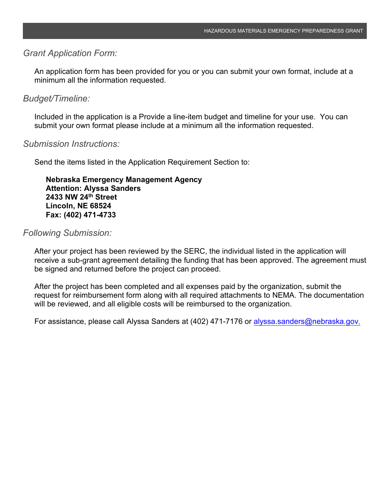#### *Grant Application Form:*

An application form has been provided for you or you can submit your own format, include at a minimum all the information requested.

#### *Budget/Timeline:*

Included in the application is a Provide a line-item budget and timeline for your use. You can submit your own format please include at a minimum all the information requested.

#### *Submission Instructions:*

Send the items listed in the Application Requirement Section to:

**Nebraska Emergency Management Agency Attention: Alyssa Sanders 2433 NW 24th Street Lincoln, NE 68524 Fax: (402) 471-4733**

#### *Following Submission:*

After your project has been reviewed by the SERC, the individual listed in the application will receive a sub-grant agreement detailing the funding that has been approved. The agreement must be signed and returned before the project can proceed.

After the project has been completed and all expenses paid by the organization, submit the request for reimbursement form along with all required attachments to NEMA. The documentation will be reviewed, and all eligible costs will be reimbursed to the organization.

For assistance, please call Alyssa Sanders at (402) 471-7176 or alyssa sanders@nebraska.gov.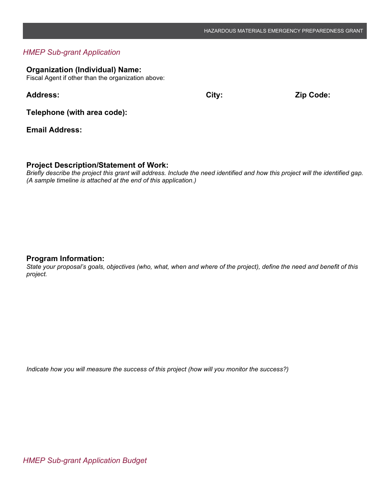#### *HMEP Sub-grant Application*

#### **Organization (Individual) Name:**

Fiscal Agent if other than the organization above:

**Address: City: Zip Code:**

**Telephone (with area code):**

**Email Address:**

#### **Project Description/Statement of Work:**

*Briefly describe the project this grant will address. Include the need identified and how this project will the identified gap. (A sample timeline is attached at the end of this application.)*

#### **Program Information:**

*State your proposal's goals, objectives (who, what, when and where of the project), define the need and benefit of this project.*

*Indicate how you will measure the success of this project (how will you monitor the success?)*

*HMEP Sub-grant Application Budget*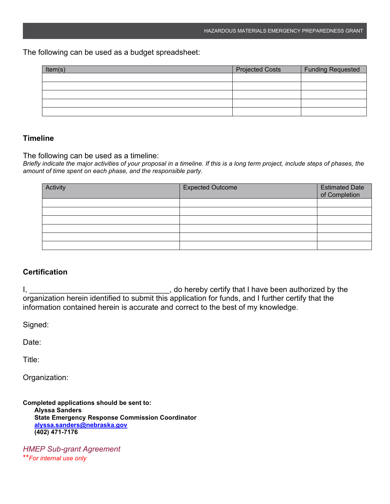The following can be used as a budget spreadsheet:

| Item(s) | <b>Projected Costs</b> | <b>Funding Requested</b> |
|---------|------------------------|--------------------------|
|         |                        |                          |
|         |                        |                          |
|         |                        |                          |
|         |                        |                          |
|         |                        |                          |

#### **Timeline**

The following can be used as a timeline:

*Briefly indicate the major activities of your proposal in a timeline. If this is a long term project, include steps of phases, the amount of time spent on each phase, and the responsible party.*

| Activity | <b>Expected Outcome</b> | Estimated Date<br>of Completion |
|----------|-------------------------|---------------------------------|
|          |                         |                                 |
|          |                         |                                 |
|          |                         |                                 |
|          |                         |                                 |
|          |                         |                                 |
|          |                         |                                 |

#### **Certification**

I, 1, 2008 and the contract of the contract of the contract of the contract of the contract of the latter that I have been authorized by the latter of the contract of the contract of the contract of the contract of the con organization herein identified to submit this application for funds, and I further certify that the information contained herein is accurate and correct to the best of my knowledge.

Signed:

Date:

Title:

Organization:

**Completed applications should be sent to: Alyssa Sanders State Emergency Response Commission Coordinator [alyssa.sanders@nebraska.gov](mailto:james.rashilla@nebraska.gov) (402) 471-7176**

*HMEP Sub-grant Agreement* \*\**For internal use only*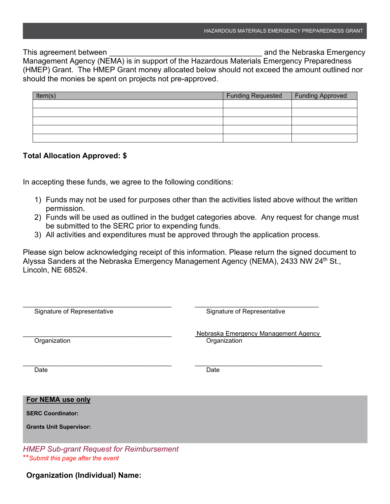This agreement between **This agreement** between **the Contract Contract and the Nebraska Emergency** 

Management Agency (NEMA) is in support of the Hazardous Materials Emergency Preparedness (HMEP) Grant. The HMEP Grant money allocated below should not exceed the amount outlined nor should the monies be spent on projects not pre-approved.

| Item(s) | <b>Funding Requested</b> | Funding Approved |
|---------|--------------------------|------------------|
|         |                          |                  |
|         |                          |                  |
|         |                          |                  |
|         |                          |                  |
|         |                          |                  |

#### **Total Allocation Approved: \$**

In accepting these funds, we agree to the following conditions:

- 1) Funds may not be used for purposes other than the activities listed above without the written permission.
- 2) Funds will be used as outlined in the budget categories above. Any request for change must be submitted to the SERC prior to expending funds.
- 3) All activities and expenditures must be approved through the application process.

Please sign below acknowledging receipt of this information. Please return the signed document to Alyssa Sanders at the Nebraska Emergency Management Agency (NEMA), 2433 NW 24<sup>th</sup> St., Lincoln, NE 68524.

| Signature of Representative                     | Signature of Representative                          |
|-------------------------------------------------|------------------------------------------------------|
| Organization                                    | Nebraska Emergency Management Agency<br>Organization |
| Date                                            | Date                                                 |
| For NEMA use only                               |                                                      |
| <b>SERC Coordinator:</b>                        |                                                      |
| <b>Grants Unit Supervisor:</b>                  |                                                      |
| <b>HMEP Sub-grant Request for Reimbursement</b> |                                                      |

\*\**Submit this page after the event*

#### **Organization (Individual) Name:**